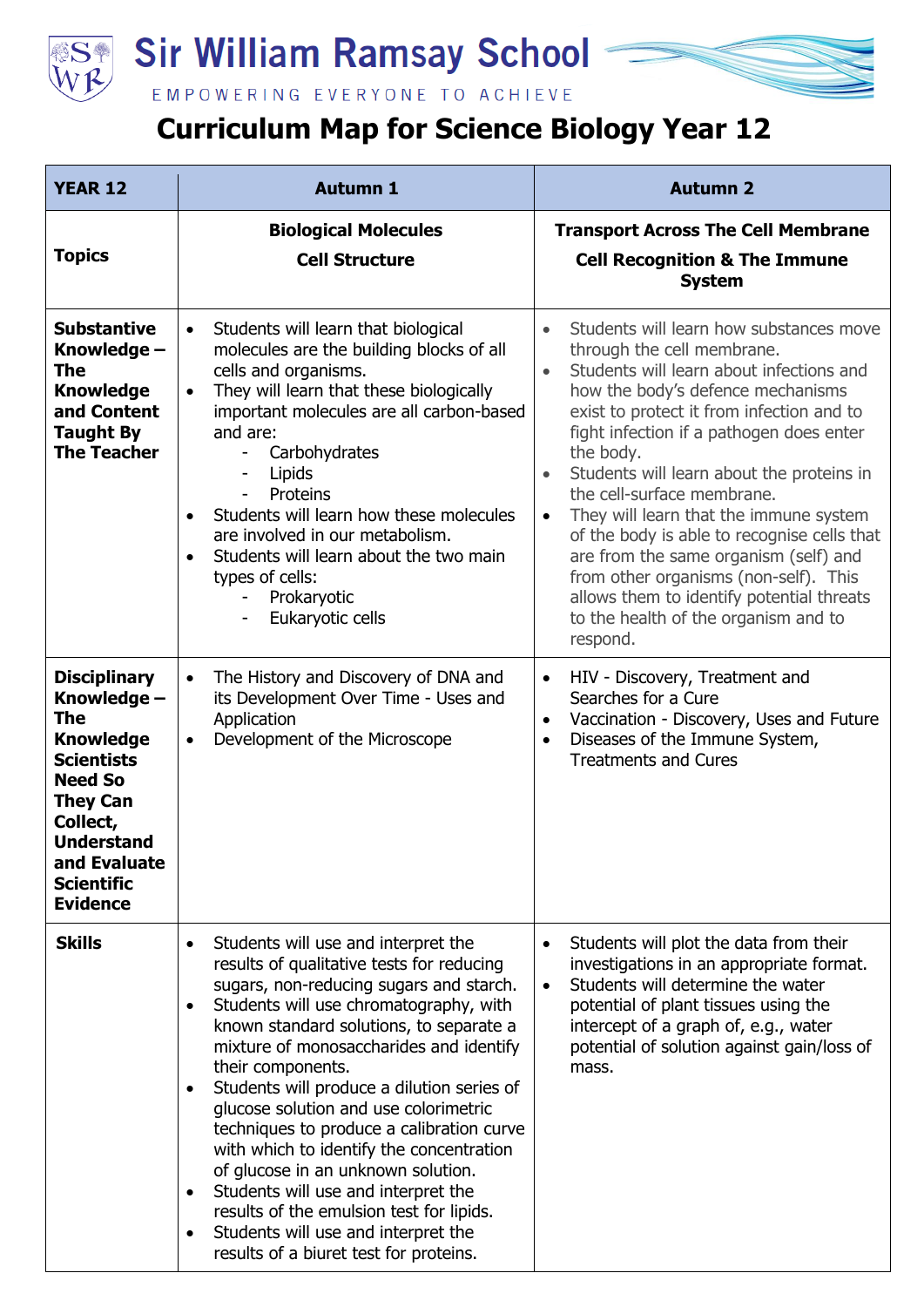

## **Sir William Ramsay School**

EMPOWERING EVERYONE TO ACHIEVE

## **Curriculum Map for Science Biology Year 12**

| <b>YEAR 12</b>                                                                                                                                                                                                   | <b>Autumn 1</b>                                                                                                                                                                                                                                                                                                                                                                                                                                                                                                                                                                                                                                                                                                                             | <b>Autumn 2</b>                                                                                                                                                                                                                                                                                                                                                                                                                                                                                                                                                                                                                                                         |
|------------------------------------------------------------------------------------------------------------------------------------------------------------------------------------------------------------------|---------------------------------------------------------------------------------------------------------------------------------------------------------------------------------------------------------------------------------------------------------------------------------------------------------------------------------------------------------------------------------------------------------------------------------------------------------------------------------------------------------------------------------------------------------------------------------------------------------------------------------------------------------------------------------------------------------------------------------------------|-------------------------------------------------------------------------------------------------------------------------------------------------------------------------------------------------------------------------------------------------------------------------------------------------------------------------------------------------------------------------------------------------------------------------------------------------------------------------------------------------------------------------------------------------------------------------------------------------------------------------------------------------------------------------|
| <b>Topics</b>                                                                                                                                                                                                    | <b>Biological Molecules</b><br><b>Cell Structure</b>                                                                                                                                                                                                                                                                                                                                                                                                                                                                                                                                                                                                                                                                                        | <b>Transport Across The Cell Membrane</b><br><b>Cell Recognition &amp; The Immune</b><br><b>System</b>                                                                                                                                                                                                                                                                                                                                                                                                                                                                                                                                                                  |
| <b>Substantive</b><br>Knowledge -<br>The<br><b>Knowledge</b><br>and Content<br><b>Taught By</b><br><b>The Teacher</b>                                                                                            | Students will learn that biological<br>$\bullet$<br>molecules are the building blocks of all<br>cells and organisms.<br>They will learn that these biologically<br>$\bullet$<br>important molecules are all carbon-based<br>and are:<br>Carbohydrates<br>Lipids<br>Proteins<br>Students will learn how these molecules<br>are involved in our metabolism.<br>Students will learn about the two main<br>types of cells:<br>Prokaryotic<br>Eukaryotic cells                                                                                                                                                                                                                                                                                   | Students will learn how substances move<br>$\bullet$<br>through the cell membrane.<br>Students will learn about infections and<br>$\bullet$<br>how the body's defence mechanisms<br>exist to protect it from infection and to<br>fight infection if a pathogen does enter<br>the body.<br>Students will learn about the proteins in<br>$\bullet$<br>the cell-surface membrane.<br>They will learn that the immune system<br>$\bullet$<br>of the body is able to recognise cells that<br>are from the same organism (self) and<br>from other organisms (non-self). This<br>allows them to identify potential threats<br>to the health of the organism and to<br>respond. |
| <b>Disciplinary</b><br>Knowledge -<br>The<br><b>Knowledge</b><br><b>Scientists</b><br><b>Need So</b><br><b>They Can</b><br>Collect,<br><b>Understand</b><br>and Evaluate<br><b>Scientific</b><br><b>Evidence</b> | The History and Discovery of DNA and<br>its Development Over Time - Uses and<br>Application<br>Development of the Microscope<br>$\bullet$                                                                                                                                                                                                                                                                                                                                                                                                                                                                                                                                                                                                   | HIV - Discovery, Treatment and<br>$\bullet$<br>Searches for a Cure<br>Vaccination - Discovery, Uses and Future<br>$\bullet$<br>Diseases of the Immune System,<br>$\bullet$<br><b>Treatments and Cures</b>                                                                                                                                                                                                                                                                                                                                                                                                                                                               |
| <b>Skills</b>                                                                                                                                                                                                    | Students will use and interpret the<br>$\bullet$<br>results of qualitative tests for reducing<br>sugars, non-reducing sugars and starch.<br>Students will use chromatography, with<br>$\bullet$<br>known standard solutions, to separate a<br>mixture of monosaccharides and identify<br>their components.<br>Students will produce a dilution series of<br>$\bullet$<br>glucose solution and use colorimetric<br>techniques to produce a calibration curve<br>with which to identify the concentration<br>of glucose in an unknown solution.<br>Students will use and interpret the<br>$\bullet$<br>results of the emulsion test for lipids.<br>Students will use and interpret the<br>$\bullet$<br>results of a biuret test for proteins. | Students will plot the data from their<br>$\bullet$<br>investigations in an appropriate format.<br>Students will determine the water<br>$\bullet$<br>potential of plant tissues using the<br>intercept of a graph of, e.g., water<br>potential of solution against gain/loss of<br>mass.                                                                                                                                                                                                                                                                                                                                                                                |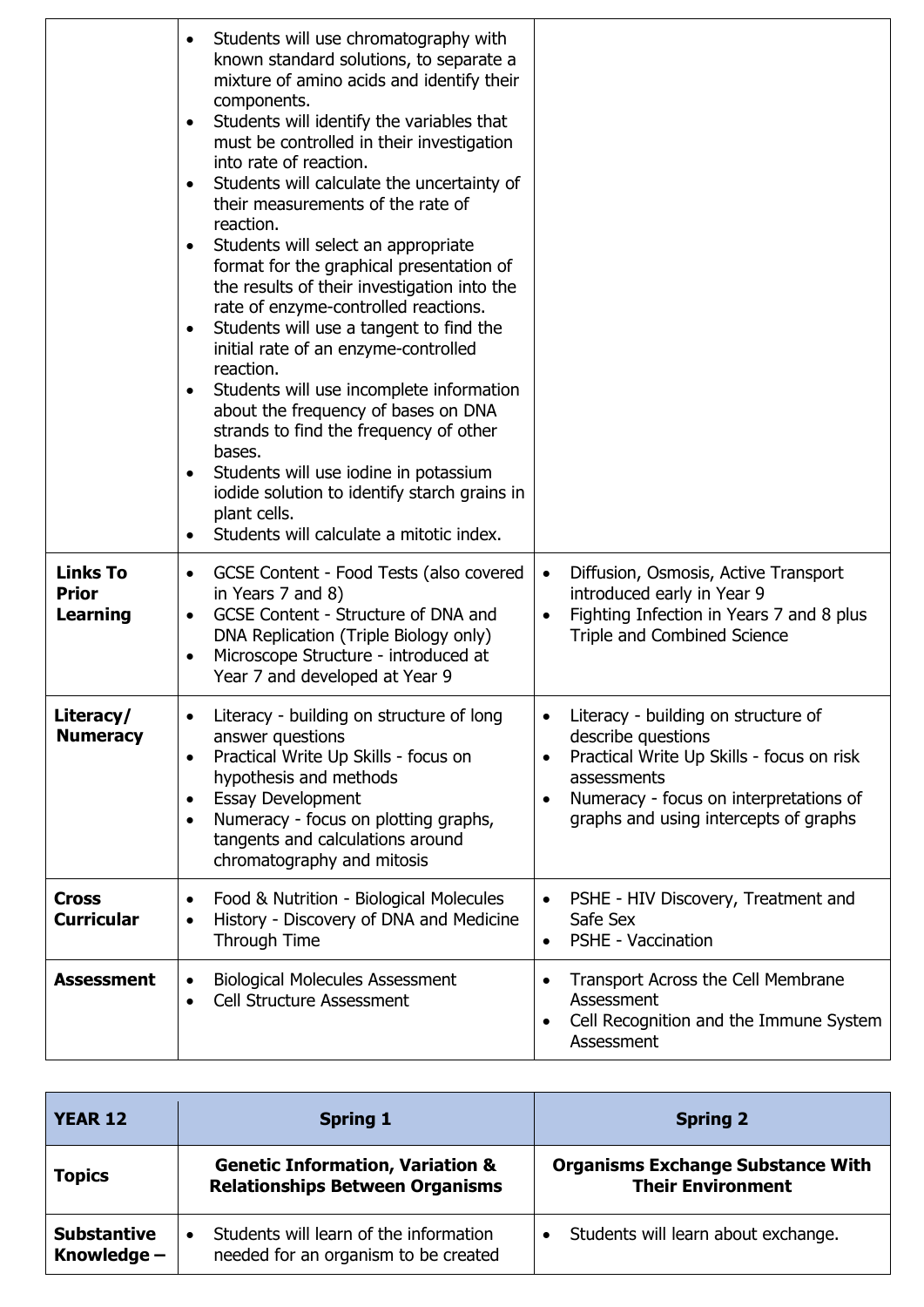|                                                    | Students will use chromatography with<br>known standard solutions, to separate a<br>mixture of amino acids and identify their<br>components.<br>Students will identify the variables that<br>must be controlled in their investigation<br>into rate of reaction.<br>Students will calculate the uncertainty of<br>their measurements of the rate of<br>reaction.<br>Students will select an appropriate<br>format for the graphical presentation of<br>the results of their investigation into the<br>rate of enzyme-controlled reactions.<br>Students will use a tangent to find the<br>initial rate of an enzyme-controlled<br>reaction.<br>Students will use incomplete information<br>about the frequency of bases on DNA<br>strands to find the frequency of other<br>bases.<br>Students will use iodine in potassium<br>iodide solution to identify starch grains in<br>plant cells.<br>Students will calculate a mitotic index. |                                                                                                                                                                                                                                    |
|----------------------------------------------------|----------------------------------------------------------------------------------------------------------------------------------------------------------------------------------------------------------------------------------------------------------------------------------------------------------------------------------------------------------------------------------------------------------------------------------------------------------------------------------------------------------------------------------------------------------------------------------------------------------------------------------------------------------------------------------------------------------------------------------------------------------------------------------------------------------------------------------------------------------------------------------------------------------------------------------------|------------------------------------------------------------------------------------------------------------------------------------------------------------------------------------------------------------------------------------|
| <b>Links To</b><br><b>Prior</b><br><b>Learning</b> | GCSE Content - Food Tests (also covered<br>in Years 7 and 8)<br>GCSE Content - Structure of DNA and<br>$\bullet$<br>DNA Replication (Triple Biology only)<br>Microscope Structure - introduced at<br>Year 7 and developed at Year 9                                                                                                                                                                                                                                                                                                                                                                                                                                                                                                                                                                                                                                                                                                    | Diffusion, Osmosis, Active Transport<br>$\bullet$<br>introduced early in Year 9<br>Fighting Infection in Years 7 and 8 plus<br>٠<br>Triple and Combined Science                                                                    |
| Literacy/<br><b>Numeracy</b>                       | Literacy - building on structure of long<br>answer questions<br>Practical Write Up Skills - focus on<br>$\bullet$<br>hypothesis and methods<br><b>Essay Development</b><br>Numeracy - focus on plotting graphs,<br>tangents and calculations around<br>chromatography and mitosis                                                                                                                                                                                                                                                                                                                                                                                                                                                                                                                                                                                                                                                      | Literacy - building on structure of<br>describe questions<br>Practical Write Up Skills - focus on risk<br>$\bullet$<br>assessments<br>Numeracy - focus on interpretations of<br>$\bullet$<br>graphs and using intercepts of graphs |
| <b>Cross</b><br><b>Curricular</b>                  | Food & Nutrition - Biological Molecules<br>$\bullet$<br>History - Discovery of DNA and Medicine<br>Through Time                                                                                                                                                                                                                                                                                                                                                                                                                                                                                                                                                                                                                                                                                                                                                                                                                        | PSHE - HIV Discovery, Treatment and<br>$\bullet$<br>Safe Sex<br><b>PSHE - Vaccination</b><br>$\bullet$                                                                                                                             |
| <b>Assessment</b>                                  | <b>Biological Molecules Assessment</b><br><b>Cell Structure Assessment</b><br>$\bullet$                                                                                                                                                                                                                                                                                                                                                                                                                                                                                                                                                                                                                                                                                                                                                                                                                                                | Transport Across the Cell Membrane<br>$\bullet$<br>Assessment<br>Cell Recognition and the Immune System<br>$\bullet$<br>Assessment                                                                                                 |

| <b>YEAR 12</b>                      | <b>Spring 1</b>                                                                       | <b>Spring 2</b>                                                      |
|-------------------------------------|---------------------------------------------------------------------------------------|----------------------------------------------------------------------|
| <b>Topics</b>                       | <b>Genetic Information, Variation &amp;</b><br><b>Relationships Between Organisms</b> | <b>Organisms Exchange Substance With</b><br><b>Their Environment</b> |
| <b>Substantive</b><br>Knowledge $-$ | Students will learn of the information<br>needed for an organism to be created        | Students will learn about exchange.                                  |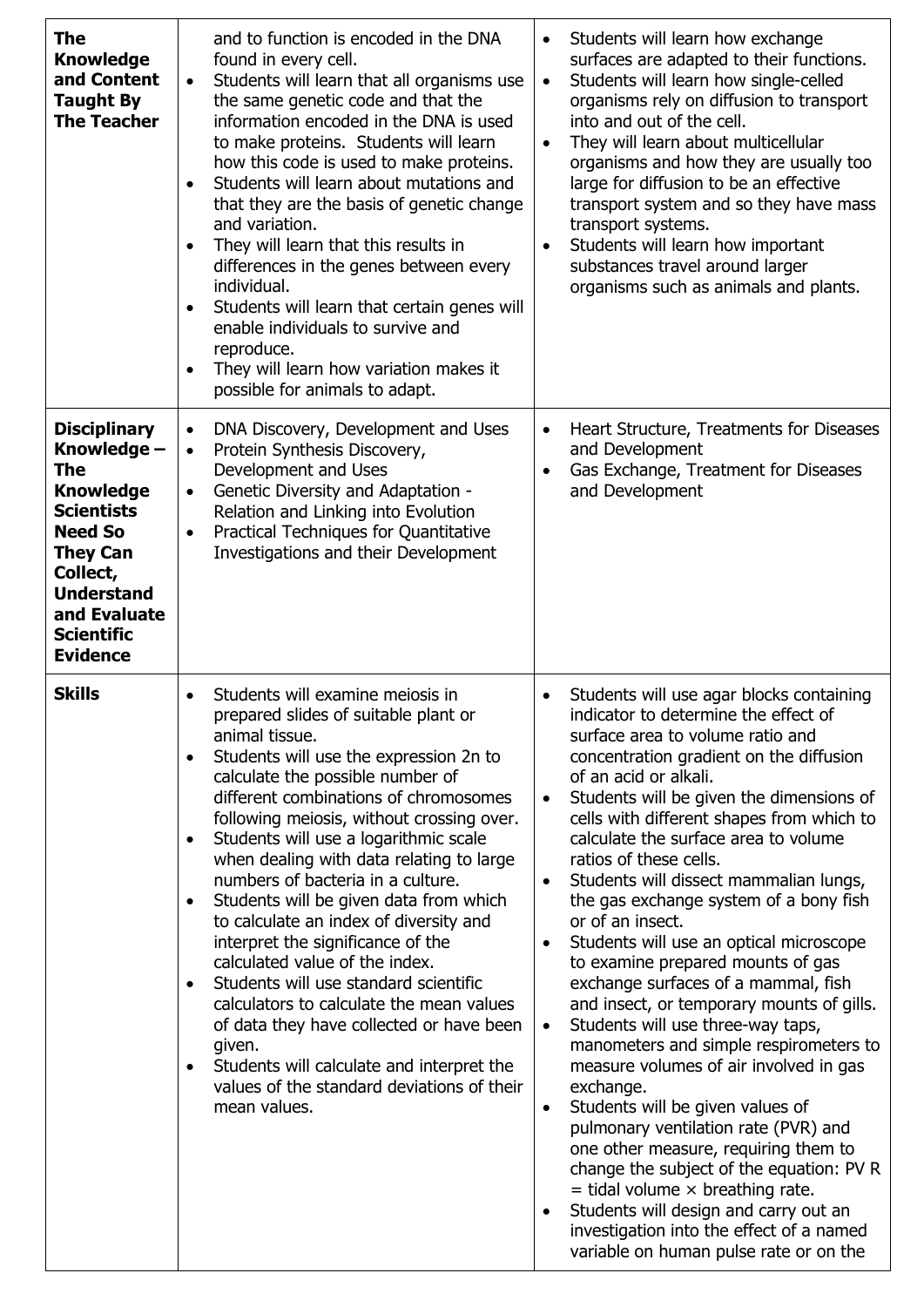| The<br><b>Knowledge</b><br>and Content<br><b>Taught By</b><br><b>The Teacher</b>                                                                                                                                 | and to function is encoded in the DNA<br>found in every cell.<br>Students will learn that all organisms use<br>$\bullet$<br>the same genetic code and that the<br>information encoded in the DNA is used<br>to make proteins. Students will learn<br>how this code is used to make proteins.<br>Students will learn about mutations and<br>that they are the basis of genetic change<br>and variation.<br>They will learn that this results in<br>differences in the genes between every<br>individual.<br>Students will learn that certain genes will<br>enable individuals to survive and<br>reproduce.<br>They will learn how variation makes it<br>$\bullet$<br>possible for animals to adapt.                                                                                                                     | Students will learn how exchange<br>$\bullet$<br>surfaces are adapted to their functions.<br>Students will learn how single-celled<br>$\bullet$<br>organisms rely on diffusion to transport<br>into and out of the cell.<br>They will learn about multicellular<br>$\bullet$<br>organisms and how they are usually too<br>large for diffusion to be an effective<br>transport system and so they have mass<br>transport systems.<br>Students will learn how important<br>$\bullet$<br>substances travel around larger<br>organisms such as animals and plants.                                                                                                                                                                                                                                                                                                                                                                                                                                                                                                                                                                                                                                               |
|------------------------------------------------------------------------------------------------------------------------------------------------------------------------------------------------------------------|------------------------------------------------------------------------------------------------------------------------------------------------------------------------------------------------------------------------------------------------------------------------------------------------------------------------------------------------------------------------------------------------------------------------------------------------------------------------------------------------------------------------------------------------------------------------------------------------------------------------------------------------------------------------------------------------------------------------------------------------------------------------------------------------------------------------|--------------------------------------------------------------------------------------------------------------------------------------------------------------------------------------------------------------------------------------------------------------------------------------------------------------------------------------------------------------------------------------------------------------------------------------------------------------------------------------------------------------------------------------------------------------------------------------------------------------------------------------------------------------------------------------------------------------------------------------------------------------------------------------------------------------------------------------------------------------------------------------------------------------------------------------------------------------------------------------------------------------------------------------------------------------------------------------------------------------------------------------------------------------------------------------------------------------|
| <b>Disciplinary</b><br>Knowledge -<br>The<br><b>Knowledge</b><br><b>Scientists</b><br><b>Need So</b><br><b>They Can</b><br>Collect,<br><b>Understand</b><br>and Evaluate<br><b>Scientific</b><br><b>Evidence</b> | DNA Discovery, Development and Uses<br>$\bullet$<br>Protein Synthesis Discovery,<br>$\bullet$<br>Development and Uses<br>Genetic Diversity and Adaptation -<br>$\bullet$<br>Relation and Linking into Evolution<br>Practical Techniques for Quantitative<br>$\bullet$<br>Investigations and their Development                                                                                                                                                                                                                                                                                                                                                                                                                                                                                                          | Heart Structure, Treatments for Diseases<br>$\bullet$<br>and Development<br>Gas Exchange, Treatment for Diseases<br>$\bullet$<br>and Development                                                                                                                                                                                                                                                                                                                                                                                                                                                                                                                                                                                                                                                                                                                                                                                                                                                                                                                                                                                                                                                             |
| <b>Skills</b>                                                                                                                                                                                                    | Students will examine meiosis in<br>$\bullet$<br>prepared slides of suitable plant or<br>animal tissue.<br>Students will use the expression 2n to<br>calculate the possible number of<br>different combinations of chromosomes<br>following meiosis, without crossing over.<br>Students will use a logarithmic scale<br>when dealing with data relating to large<br>numbers of bacteria in a culture.<br>Students will be given data from which<br>to calculate an index of diversity and<br>interpret the significance of the<br>calculated value of the index.<br>Students will use standard scientific<br>calculators to calculate the mean values<br>of data they have collected or have been<br>given.<br>Students will calculate and interpret the<br>values of the standard deviations of their<br>mean values. | Students will use agar blocks containing<br>$\bullet$<br>indicator to determine the effect of<br>surface area to volume ratio and<br>concentration gradient on the diffusion<br>of an acid or alkali.<br>Students will be given the dimensions of<br>$\bullet$<br>cells with different shapes from which to<br>calculate the surface area to volume<br>ratios of these cells.<br>Students will dissect mammalian lungs,<br>$\bullet$<br>the gas exchange system of a bony fish<br>or of an insect.<br>Students will use an optical microscope<br>$\bullet$<br>to examine prepared mounts of gas<br>exchange surfaces of a mammal, fish<br>and insect, or temporary mounts of gills.<br>Students will use three-way taps,<br>$\bullet$<br>manometers and simple respirometers to<br>measure volumes of air involved in gas<br>exchange.<br>Students will be given values of<br>$\bullet$<br>pulmonary ventilation rate (PVR) and<br>one other measure, requiring them to<br>change the subject of the equation: PV R<br>$=$ tidal volume $\times$ breathing rate.<br>Students will design and carry out an<br>$\bullet$<br>investigation into the effect of a named<br>variable on human pulse rate or on the |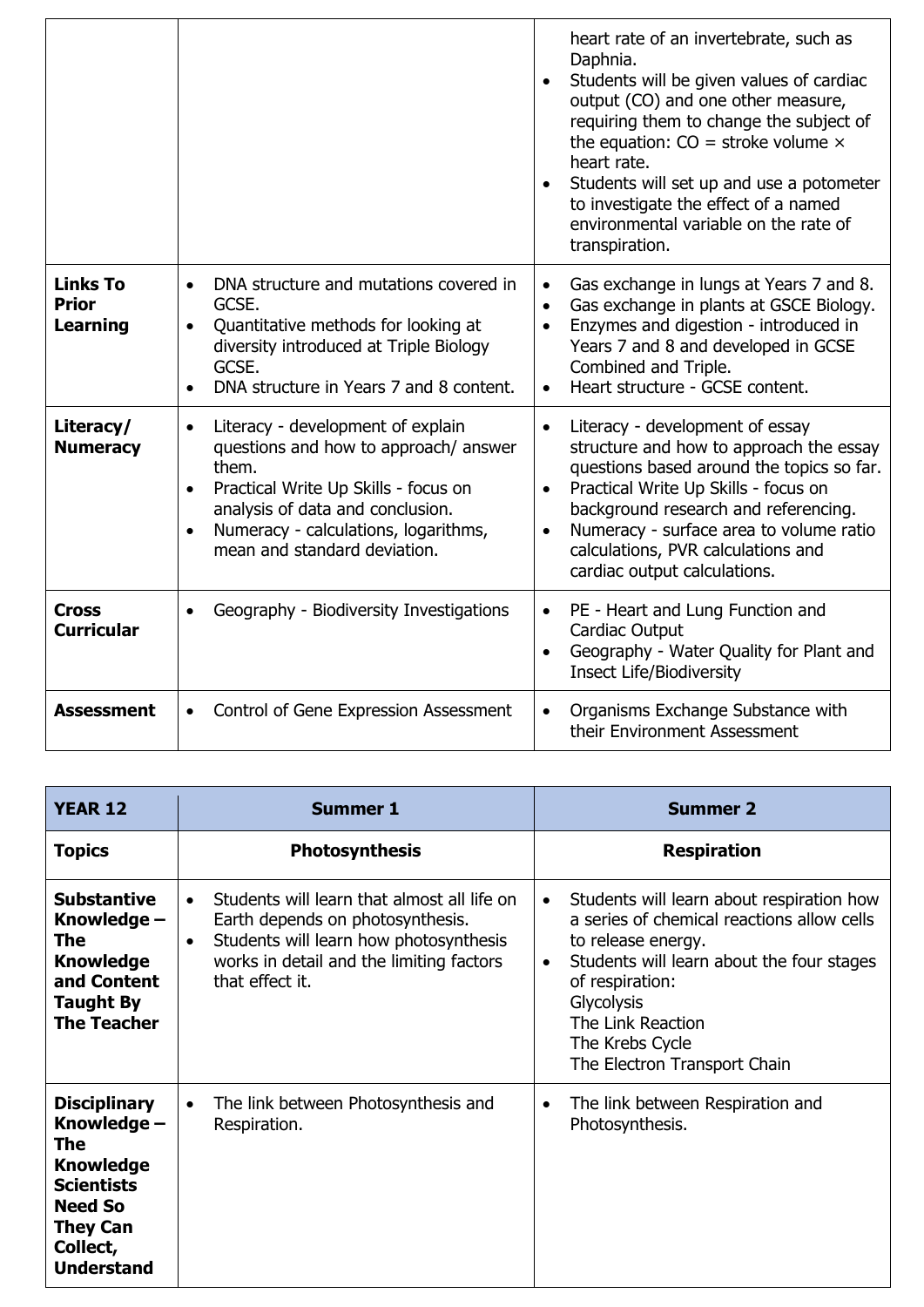|                                                    |                                                                                                                                                                                                                                                                                | heart rate of an invertebrate, such as<br>Daphnia.<br>Students will be given values of cardiac<br>output (CO) and one other measure,<br>requiring them to change the subject of<br>the equation: $CO =$ stroke volume $\times$<br>heart rate.<br>Students will set up and use a potometer<br>to investigate the effect of a named<br>environmental variable on the rate of<br>transpiration. |
|----------------------------------------------------|--------------------------------------------------------------------------------------------------------------------------------------------------------------------------------------------------------------------------------------------------------------------------------|----------------------------------------------------------------------------------------------------------------------------------------------------------------------------------------------------------------------------------------------------------------------------------------------------------------------------------------------------------------------------------------------|
| <b>Links To</b><br><b>Prior</b><br><b>Learning</b> | DNA structure and mutations covered in<br>$\bullet$<br>GCSE.<br>Quantitative methods for looking at<br>$\bullet$<br>diversity introduced at Triple Biology<br>GCSE.<br>DNA structure in Years 7 and 8 content.                                                                 | Gas exchange in lungs at Years 7 and 8.<br>$\bullet$<br>Gas exchange in plants at GSCE Biology.<br>$\bullet$<br>Enzymes and digestion - introduced in<br>$\bullet$<br>Years 7 and 8 and developed in GCSE<br>Combined and Triple.<br>Heart structure - GCSE content.                                                                                                                         |
| Literacy/<br><b>Numeracy</b>                       | Literacy - development of explain<br>$\bullet$<br>questions and how to approach/ answer<br>them.<br>Practical Write Up Skills - focus on<br>$\bullet$<br>analysis of data and conclusion.<br>Numeracy - calculations, logarithms,<br>$\bullet$<br>mean and standard deviation. | Literacy - development of essay<br>$\bullet$<br>structure and how to approach the essay<br>questions based around the topics so far.<br>Practical Write Up Skills - focus on<br>$\bullet$<br>background research and referencing.<br>Numeracy - surface area to volume ratio<br>$\bullet$<br>calculations, PVR calculations and<br>cardiac output calculations.                              |
| <b>Cross</b><br><b>Curricular</b>                  | Geography - Biodiversity Investigations<br>$\bullet$                                                                                                                                                                                                                           | PE - Heart and Lung Function and<br>Cardiac Output<br>Geography - Water Quality for Plant and<br><b>Insect Life/Biodiversity</b>                                                                                                                                                                                                                                                             |
| <b>Assessment</b>                                  | Control of Gene Expression Assessment<br>٠                                                                                                                                                                                                                                     | Organisms Exchange Substance with<br>their Environment Assessment                                                                                                                                                                                                                                                                                                                            |

| <b>YEAR 12</b>                                                                                                                                           | <b>Summer 1</b>                                                                                                                                                                                       | <b>Summer 2</b>                                                                                                                                                                                                                                                                                      |
|----------------------------------------------------------------------------------------------------------------------------------------------------------|-------------------------------------------------------------------------------------------------------------------------------------------------------------------------------------------------------|------------------------------------------------------------------------------------------------------------------------------------------------------------------------------------------------------------------------------------------------------------------------------------------------------|
| <b>Topics</b>                                                                                                                                            | <b>Photosynthesis</b>                                                                                                                                                                                 | <b>Respiration</b>                                                                                                                                                                                                                                                                                   |
| <b>Substantive</b><br>Knowledge -<br>The<br><b>Knowledge</b><br>and Content<br><b>Taught By</b><br><b>The Teacher</b>                                    | Students will learn that almost all life on<br>Earth depends on photosynthesis.<br>Students will learn how photosynthesis<br>$\bullet$<br>works in detail and the limiting factors<br>that effect it. | Students will learn about respiration how<br>$\bullet$<br>a series of chemical reactions allow cells<br>to release energy.<br>Students will learn about the four stages<br>$\bullet$<br>of respiration:<br><b>Glycolysis</b><br>The Link Reaction<br>The Krebs Cycle<br>The Electron Transport Chain |
| <b>Disciplinary</b><br>Knowledge -<br>The<br><b>Knowledge</b><br><b>Scientists</b><br><b>Need So</b><br><b>They Can</b><br>Collect,<br><b>Understand</b> | The link between Photosynthesis and<br>$\bullet$<br>Respiration.                                                                                                                                      | The link between Respiration and<br>$\bullet$<br>Photosynthesis.                                                                                                                                                                                                                                     |